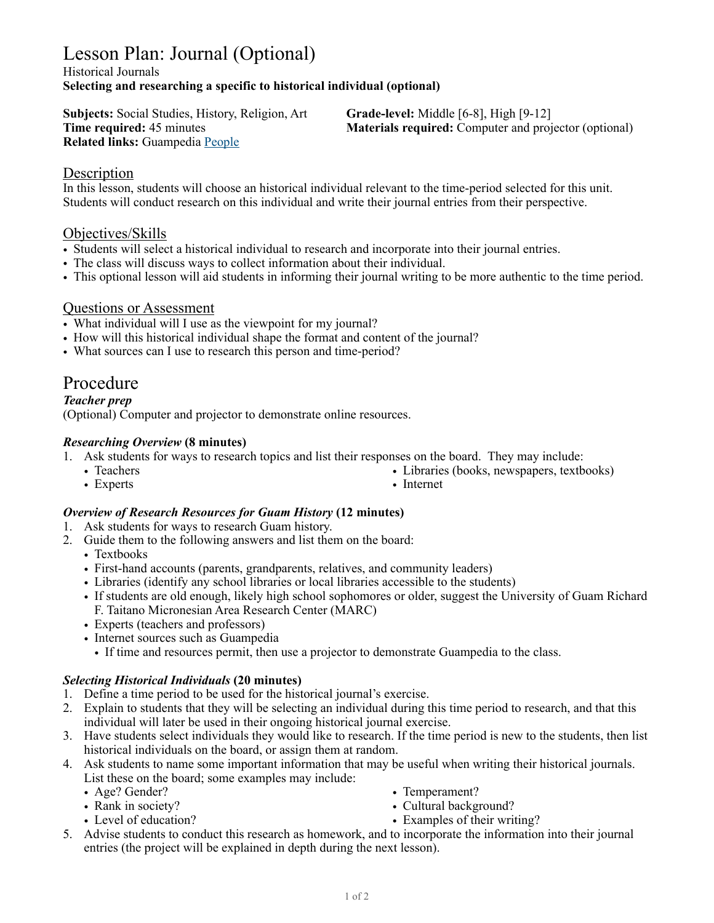# Lesson Plan: Journal (Optional)

#### Historical Journals **Selecting and researching a specific to historical individual (optional)**

**Subjects:** Social Studies, History, Religion, Art **Grade-level:** Middle [6-8], High [9-12] **Related links:** Guampedia [People](https://www.guampedia.com/biographies/people/)

**Time required:** 45 minutes **Materials required:** Computer and projector (optional)

### **Description**

In this lesson, students will choose an historical individual relevant to the time-period selected for this unit. Students will conduct research on this individual and write their journal entries from their perspective.

### Objectives/Skills

- Students will select a historical individual to research and incorporate into their journal entries.
- The class will discuss ways to collect information about their individual.
- This optional lesson will aid students in informing their journal writing to be more authentic to the time period.

### Questions or Assessment

- What individual will I use as the viewpoint for my journal?
- How will this historical individual shape the format and content of the journal?
- What sources can I use to research this person and time-period?

## Procedure

*Teacher prep*

(Optional) Computer and projector to demonstrate online resources.

### *Researching Overview* **(8 minutes)**

- 1. Ask students for ways to research topics and list their responses on the board. They may include:
	- Teachers • Experts
- Libraries (books, newspapers, textbooks)
- Internet

### *Overview of Research Resources for Guam History* **(12 minutes)**

- 1. Ask students for ways to research Guam history.
- 2. Guide them to the following answers and list them on the board:
	- Textbooks
	- First-hand accounts (parents, grandparents, relatives, and community leaders)
	- Libraries (identify any school libraries or local libraries accessible to the students)
	- If students are old enough, likely high school sophomores or older, suggest the University of Guam Richard F. Taitano Micronesian Area Research Center (MARC)
	- Experts (teachers and professors)
	- Internet sources such as Guampedia
		- If time and resources permit, then use a projector to demonstrate Guampedia to the class.

### *Selecting Historical Individuals* **(20 minutes)**

- 1. Define a time period to be used for the historical journal's exercise.
- 2. Explain to students that they will be selecting an individual during this time period to research, and that this individual will later be used in their ongoing historical journal exercise.
- 3. Have students select individuals they would like to research. If the time period is new to the students, then list historical individuals on the board, or assign them at random.

4. Ask students to name some important information that may be useful when writing their historical journals. List these on the board; some examples may include:

- Age? Gender?
- Rank in society?
- Level of education?
- Temperament?
- Cultural background?
- Examples of their writing?
- 5. Advise students to conduct this research as homework, and to incorporate the information into their journal entries (the project will be explained in depth during the next lesson).